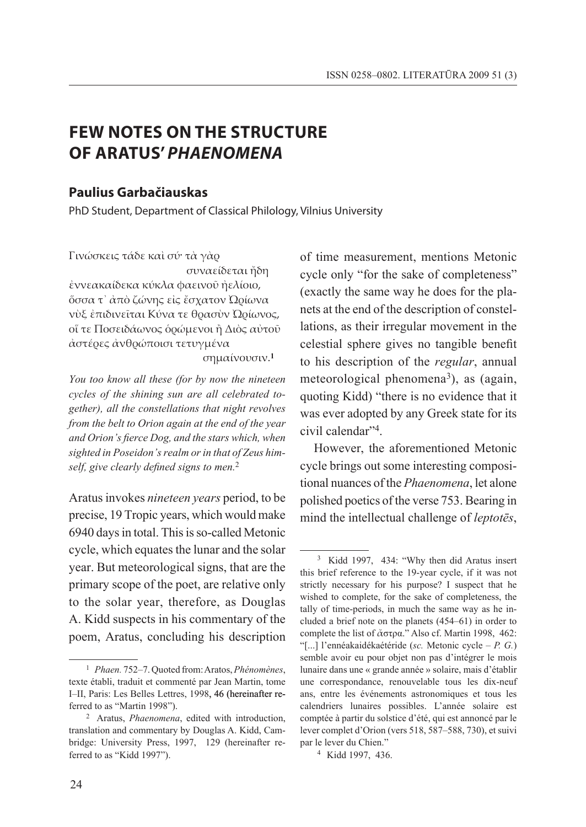# **FEW NOTES ON THE STRUCTURE OF ARATUS'** *PHAENOMENA*

## **Paulius Garbačiauskas**

PhD Student, Department of Classical Philology, Vilnius University

Γινώσκεις τάδε καὶ σύ· τὰ γὰρ

 συναείδεται ἤδη ἐννεακαίδεκα κύκλα φαεινοῦ ἠελίοιο, ὅσσα τ᾽ ἀπὸ ζώνης εἰς ἔσχατον Ὠρίωνα νὺξ ἐπιδινεῖται Κύνα τε θρασὺν Ὠρίωνος, οἵ τε Ποσειδάωνος ὁρώμενοι ἢ Διὸς αὐτοῦ ἀστέρες ἀνθρώποισι τετυγμένα

σημαίνουσιν.**<sup>1</sup>**

*You too know all these (for by now the nineteen cycles of the shining sun are all celebrated together), all the constellations that night revolves from the belt to Orion again at the end of the year and Orion's fierce Dog, and the stars which, when sighted in Poseidon's realm or in that of Zeus himself, give clearly defined signs to men.*<sup>2</sup>

Aratus invokes *nineteen years* period, to be precise, 19 Tropic years, which would make 6940 days in total. This is so-called Metonic cycle, which equates the lunar and the solar year. But meteorological signs, that are the primary scope of the poet, are relative only to the solar year, therefore, as Douglas A. Kidd suspects in his commentary of the poem, Aratus, concluding his description of time measurement, mentions Metonic cycle only "for the sake of completeness" (exactly the same way he does for the planets at the end of the description of constellations, as their irregular movement in the celestial sphere gives no tangible benefit to his description of the *regular*, annual meteorological phenomena<sup>3</sup>), as (again, quoting Kidd) "there is no evidence that it was ever adopted by any Greek state for its civil calendar"4.

However, the aforementioned Metonic cycle brings out some interesting compositional nuances of the *Phaenomena*, let alone polished poetics of the verse 753. Bearing in mind the intellectual challenge of *leptotēs*,

<sup>1</sup> *Phaen.* 752–7. Quoted from: Aratos, *Phénomènes*, texte établi, traduit et commenté par Jean Martin, tome I–II, Paris: Les Belles Lettres, 1998, 46 (hereinafter referred to as "Martin 1998").

<sup>2</sup> Aratus, *Phaenomena*, edited with introduction, translation and commentary by Douglas A. Kidd, Cambridge: University Press, 1997, 129 (hereinafter referred to as "Kidd 1997").

<sup>3</sup> Kidd 1997, 434: "Why then did Aratus insert this brief reference to the 19-year cycle, if it was not strictly necessary for his purpose? I suspect that he wished to complete, for the sake of completeness, the tally of time-periods, in much the same way as he included a brief note on the planets (454–61) in order to complete the list of ἄστρα." Also cf. Martin 1998, 462: "[...] l'ennéakaidékaétéride (*sc.* Metonic cycle – *P. G.*) semble avoir eu pour objet non pas d'intégrer le mois lunaire dans une « grande année » solaire, mais d'établir une correspondance, renouvelable tous les dix-neuf ans, entre les événements astronomiques et tous les calendriers lunaires possibles. L'année solaire est comptée à partir du solstice d'été, qui est annoncé par le lever complet d'Orion (vers 518, 587–588, 730), et suivi par le lever du Chien."

<sup>4</sup> Kidd 1997, 436.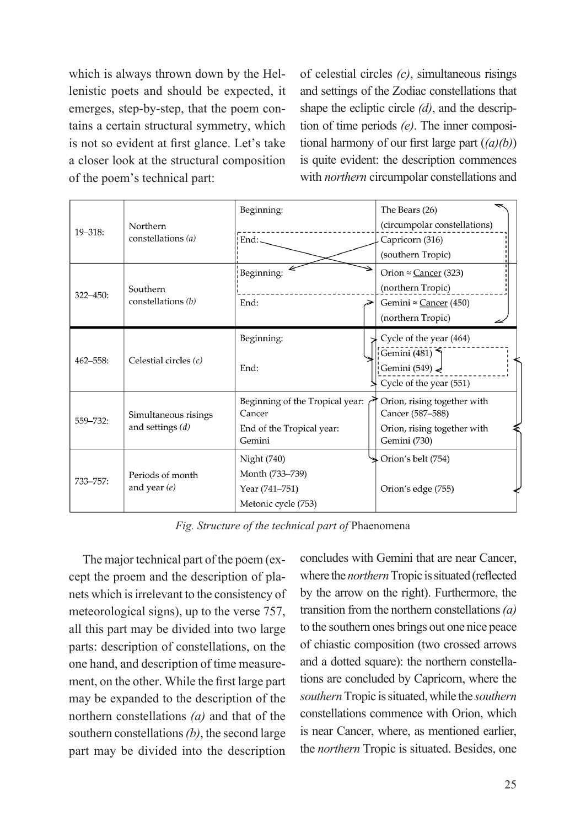which is always thrown down by the Hellenistic poets and should be expected, it emerges, step-by-step, that the poem contains a certain structural symmetry, which is not so evident at first glance. Let's take a closer look at the structural composition of the poem's technical part:

of celestial circles *(c)*, simultaneous risings and settings of the Zodiac constellations that shape the ecliptic circle *(d)*, and the description of time periods *(e)*. The inner compositional harmony of our first large part (*(a)(b)*) is quite evident: the description commences with *northern* circumpolar constellations and

| $19 - 318$ :  | Northern<br>constellations (a)             | Beginning:                      | The Bears (26)                |
|---------------|--------------------------------------------|---------------------------------|-------------------------------|
|               |                                            |                                 | (circumpolar constellations)  |
|               |                                            | End:                            | Capricorn (316)               |
|               |                                            |                                 | (southern Tropic)             |
| $322 - 450$ : | Southern<br>constellations (b)             | Beginning:                      | Orion $\approx$ Cancer (323)  |
|               |                                            |                                 | (northern Tropic)             |
|               |                                            | End:                            | Gemini $\approx$ Cancer (450) |
|               |                                            |                                 | (northern Tropic)             |
| $462 - 558$ : | Celestial circles $(c)$                    | Beginning:                      | Cycle of the year (464)       |
|               |                                            |                                 | Gemini (481) $\bigcap$        |
|               |                                            | End:                            | Gemini $(549)$                |
|               |                                            |                                 | Cycle of the year (551)       |
| 559-732:      | Simultaneous risings<br>and settings $(d)$ | Beginning of the Tropical year: | Orion, rising together with   |
|               |                                            | Cancer                          | Cancer (587-588)              |
|               |                                            | End of the Tropical year:       | Orion, rising together with   |
|               |                                            | Gemini                          | Gemini (730)                  |
| 733-757:      | Periods of month<br>and year $(e)$         | Night (740)                     | Orion's belt (754)            |
|               |                                            | Month (733–739)                 |                               |
|               |                                            | Year (741-751)                  | Orion's edge (755)            |
|               |                                            | Metonic cycle (753)             |                               |

*Fig. Structure of the technical part of* Phaenomena

The major technical part of the poem (except the proem and the description of planets which is irrelevant to the consistency of meteorological signs), up to the verse 757, all this part may be divided into two large parts: description of constellations, on the one hand, and description of time measurement, on the other. While the first large part may be expanded to the description of the northern constellations *(a)* and that of the southern constellations *(b)*, the second large part may be divided into the description

concludes with Gemini that are near Cancer, where the *northern* Tropic is situated (reflected by the arrow on the right). Furthermore, the transition from the northern constellations *(a)* to the southern ones brings out one nice peace of chiastic composition (two crossed arrows and a dotted square): the northern constellations are concluded by Capricorn, where the *southern* Tropic is situated, while the *southern* constellations commence with Orion, which is near Cancer, where, as mentioned earlier, the *northern* Tropic is situated. Besides, one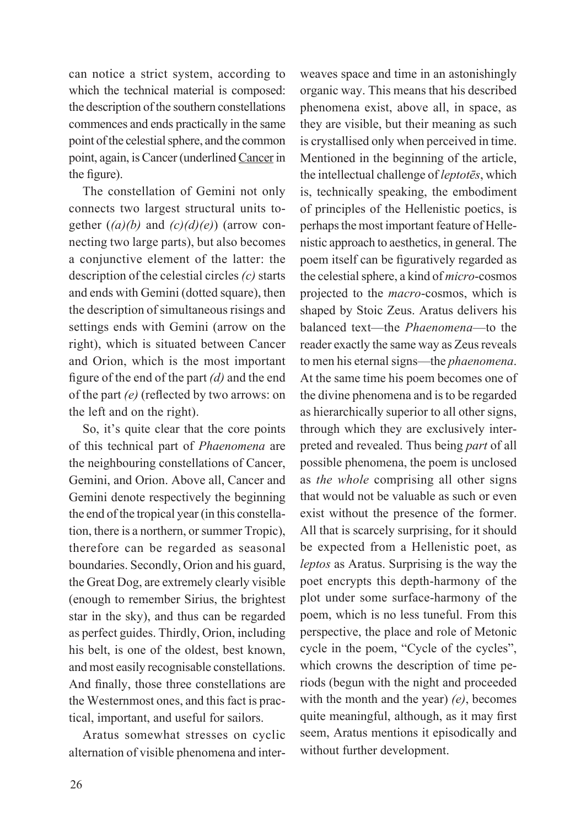can notice a strict system, according to which the technical material is composed: the description of the southern constellations commences and ends practically in the same point of the celestial sphere, and the common point, again, is Cancer (underlined Cancer in the figure).

The constellation of Gemini not only connects two largest structural units together (*(a)(b)* and *(c)(d)(e)*) (arrow connecting two large parts), but also becomes a conjunctive element of the latter: the description of the celestial circles *(c)* starts and ends with Gemini (dotted square), then the description of simultaneous risings and settings ends with Gemini (arrow on the right), which is situated between Cancer and Orion, which is the most important figure of the end of the part *(d)* and the end of the part *(e)* (reflected by two arrows: on the left and on the right).

So, it's quite clear that the core points of this technical part of *Phaenomena* are the neighbouring constellations of Cancer, Gemini, and Orion. Above all, Cancer and Gemini denote respectively the beginning the end of the tropical year (in this constellation, there is a northern, or summer Tropic), therefore can be regarded as seasonal boundaries. Secondly, Orion and his guard, the Great Dog, are extremely clearly visible (enough to remember Sirius, the brightest star in the sky), and thus can be regarded as perfect guides. Thirdly, Orion, including his belt, is one of the oldest, best known, and most easily recognisable constellations. And finally, those three constellations are the Westernmost ones, and this fact is practical, important, and useful for sailors.

Aratus somewhat stresses on cyclic alternation of visible phenomena and inter-

weaves space and time in an astonishingly organic way. This means that his described phenomena exist, above all, in space, as they are visible, but their meaning as such is crystallised only when perceived in time. Mentioned in the beginning of the article, the intellectual challenge of *leptotēs*, which is, technically speaking, the embodiment of principles of the Hellenistic poetics, is perhaps the most important feature of Hellenistic approach to aesthetics, in general. The poem itself can be figuratively regarded as the celestial sphere, a kind of *micro*-cosmos projected to the *macro*-cosmos, which is shaped by Stoic Zeus. Aratus delivers his balanced text—the *Phaenomena*—to the reader exactly the same way as Zeus reveals to men his eternal signs—the *phaenomena*. At the same time his poem becomes one of the divine phenomena and is to be regarded as hierarchically superior to all other signs, through which they are exclusively interpreted and revealed. Thus being *part* of all possible phenomena, the poem is unclosed as *the whole* comprising all other signs that would not be valuable as such or even exist without the presence of the former. All that is scarcely surprising, for it should be expected from a Hellenistic poet, as *leptos* as Aratus. Surprising is the way the poet encrypts this depth-harmony of the plot under some surface-harmony of the poem, which is no less tuneful. From this perspective, the place and role of Metonic cycle in the poem, "Cycle of the cycles", which crowns the description of time periods (begun with the night and proceeded with the month and the year) *(e)*, becomes quite meaningful, although, as it may first seem, Aratus mentions it episodically and without further development.